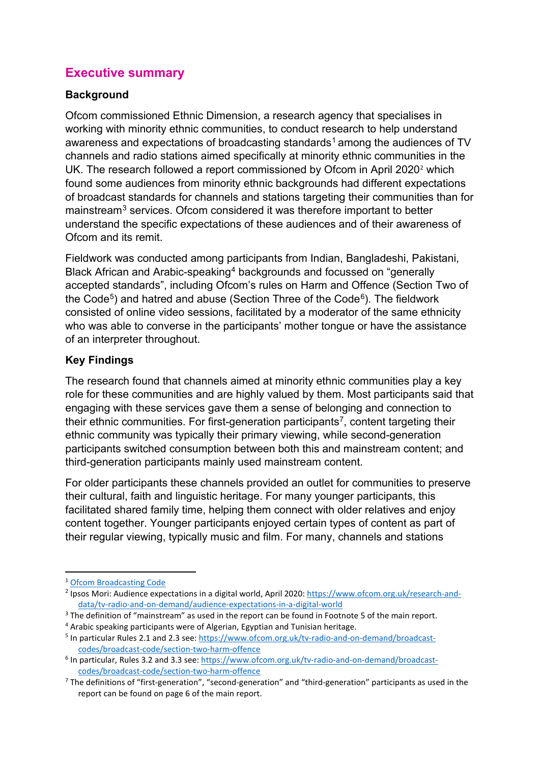## **Executive summary**

## **Background**

Ofcom commissioned Ethnic Dimension, a research agency that specialises in working with minority ethnic communities, to conduct research to help understand awareness and expectations of broadcasting standards<sup>[1](#page-0-0)</sup> among the audiences of TV channels and radio stations aimed specifically at minority ethnic communities in the UK. The research followed a report commissioned by Ofcom in April [2](#page-0-1)020<sup>2</sup> which found some audiences from minority ethnic backgrounds had different expectations of broadcast standards for channels and stations targeting their communities than for mainstream<sup>[3](#page-0-2)</sup> services. Ofcom considered it was therefore important to better understand the specific expectations of these audiences and of their awareness of Ofcom and its remit.

Fieldwork was conducted among participants from Indian, Bangladeshi, Pakistani, Black African and Arabic-speaking[4](#page-0-3) backgrounds and focussed on "generally accepted standards", including Ofcom's rules on Harm and Offence (Section Two of the Code<sup>5</sup>) and hatred and abuse (Section Three of the Code<sup>[6](#page-0-5)</sup>). The fieldwork consisted of online video sessions, facilitated by a moderator of the same ethnicity who was able to converse in the participants' mother tongue or have the assistance of an interpreter throughout.

## **Key Findings**

The research found that channels aimed at minority ethnic communities play a key role for these communities and are highly valued by them. Most participants said that engaging with these services gave them a sense of belonging and connection to their ethnic communities. For first-generation participants<sup>[7](#page-0-6)</sup>, content targeting their ethnic community was typically their primary viewing, while second-generation participants switched consumption between both this and mainstream content; and third-generation participants mainly used mainstream content.

For older participants these channels provided an outlet for communities to preserve their cultural, faith and linguistic heritage. For many younger participants, this facilitated shared family time, helping them connect with older relatives and enjoy content together. Younger participants enjoyed certain types of content as part of their regular viewing, typically music and film. For many, channels and stations

<span id="page-0-0"></span><sup>1</sup> [Ofcom Broadcasting Code](https://www.ofcom.org.uk/tv-radio-and-on-demand/broadcast-codes/broadcast-code)

<span id="page-0-1"></span><sup>&</sup>lt;sup>2</sup> Ipsos Mori: Audience expectations in a digital world, April 2020[: https://www.ofcom.org.uk/research-and](https://www.ofcom.org.uk/research-and-data/tv-radio-and-on-demand/audience-expectations-in-a-digital-world)[data/tv-radio-and-on-demand/audience-expectations-in-a-digital-world](https://www.ofcom.org.uk/research-and-data/tv-radio-and-on-demand/audience-expectations-in-a-digital-world)

<span id="page-0-2"></span><sup>&</sup>lt;sup>3</sup> The definition of "mainstream" as used in the report can be found in Footnote 5 of the main report.<br><sup>4</sup> Arabic speaking participants were of Algerian, Egyptian and Tunisian heritage.<br><sup>5</sup> In particular Rules 2.1 and 2.

<span id="page-0-3"></span>

<span id="page-0-4"></span>[codes/broadcast-code/section-two-harm-offence](https://www.ofcom.org.uk/tv-radio-and-on-demand/broadcast-codes/broadcast-code/section-two-harm-offence)

<span id="page-0-5"></span><sup>&</sup>lt;sup>6</sup> In particular, Rules 3.2 and 3.3 see: [https://www.ofcom.org.uk/tv-radio-and-on-demand/broadcast](https://www.ofcom.org.uk/tv-radio-and-on-demand/broadcast-codes/broadcast-code/section-two-harm-offence)[codes/broadcast-code/section-two-harm-offence](https://www.ofcom.org.uk/tv-radio-and-on-demand/broadcast-codes/broadcast-code/section-two-harm-offence)

<span id="page-0-6"></span><sup>&</sup>lt;sup>7</sup> The definitions of "first-generation", "second-generation" and "third-generation" participants as used in the report can be found on page 6 of the main report.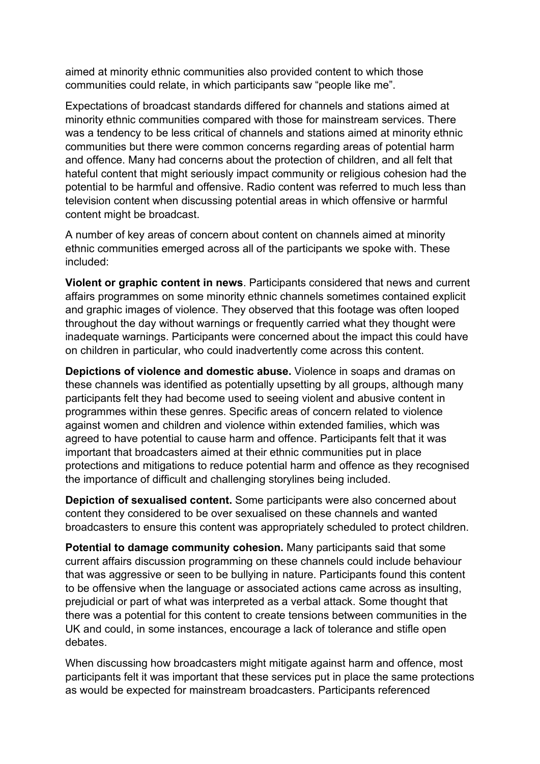aimed at minority ethnic communities also provided content to which those communities could relate, in which participants saw "people like me".

Expectations of broadcast standards differed for channels and stations aimed at minority ethnic communities compared with those for mainstream services. There was a tendency to be less critical of channels and stations aimed at minority ethnic communities but there were common concerns regarding areas of potential harm and offence. Many had concerns about the protection of children, and all felt that hateful content that might seriously impact community or religious cohesion had the potential to be harmful and offensive. Radio content was referred to much less than television content when discussing potential areas in which offensive or harmful content might be broadcast.

A number of key areas of concern about content on channels aimed at minority ethnic communities emerged across all of the participants we spoke with. These included:

**Violent or graphic content in news**. Participants considered that news and current affairs programmes on some minority ethnic channels sometimes contained explicit and graphic images of violence. They observed that this footage was often looped throughout the day without warnings or frequently carried what they thought were inadequate warnings. Participants were concerned about the impact this could have on children in particular, who could inadvertently come across this content.

**Depictions of violence and domestic abuse.** Violence in soaps and dramas on these channels was identified as potentially upsetting by all groups, although many participants felt they had become used to seeing violent and abusive content in programmes within these genres. Specific areas of concern related to violence against women and children and violence within extended families, which was agreed to have potential to cause harm and offence. Participants felt that it was important that broadcasters aimed at their ethnic communities put in place protections and mitigations to reduce potential harm and offence as they recognised the importance of difficult and challenging storylines being included.

**Depiction of sexualised content.** Some participants were also concerned about content they considered to be over sexualised on these channels and wanted broadcasters to ensure this content was appropriately scheduled to protect children.

**Potential to damage community cohesion.** Many participants said that some current affairs discussion programming on these channels could include behaviour that was aggressive or seen to be bullying in nature. Participants found this content to be offensive when the language or associated actions came across as insulting, prejudicial or part of what was interpreted as a verbal attack. Some thought that there was a potential for this content to create tensions between communities in the UK and could, in some instances, encourage a lack of tolerance and stifle open debates.

When discussing how broadcasters might mitigate against harm and offence, most participants felt it was important that these services put in place the same protections as would be expected for mainstream broadcasters. Participants referenced